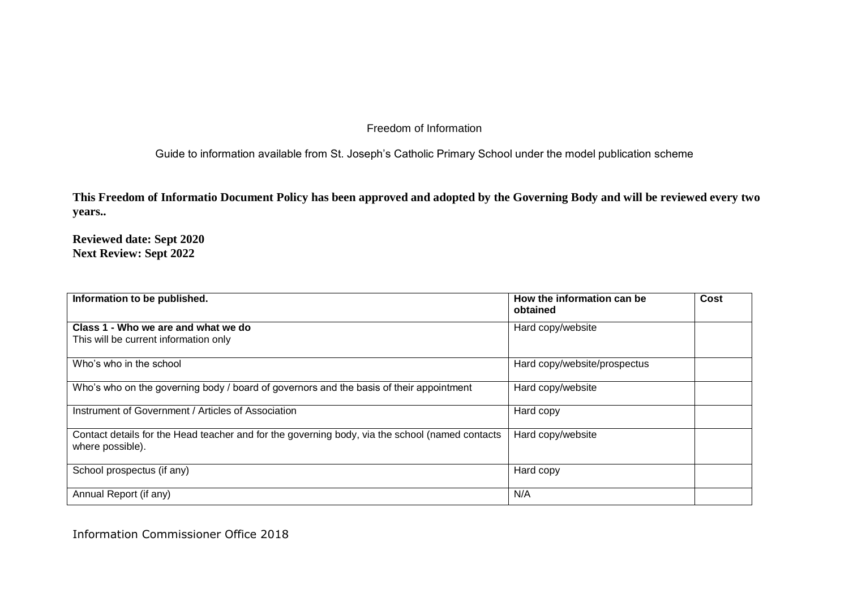Guide to information available from St. Joseph's Catholic Primary School under the model publication scheme

**This Freedom of Informatio Document Policy has been approved and adopted by the Governing Body and will be reviewed every two years..**

**Reviewed date: Sept 2020 Next Review: Sept 2022**

| Information to be published.                                                                                        | How the information can be<br>obtained | Cost |
|---------------------------------------------------------------------------------------------------------------------|----------------------------------------|------|
| Class 1 - Who we are and what we do<br>This will be current information only                                        | Hard copy/website                      |      |
|                                                                                                                     |                                        |      |
| Who's who in the school                                                                                             | Hard copy/website/prospectus           |      |
| Who's who on the governing body / board of governors and the basis of their appointment                             | Hard copy/website                      |      |
| Instrument of Government / Articles of Association                                                                  | Hard copy                              |      |
| Contact details for the Head teacher and for the governing body, via the school (named contacts<br>where possible). | Hard copy/website                      |      |
| School prospectus (if any)                                                                                          | Hard copy                              |      |
| Annual Report (if any)                                                                                              | N/A                                    |      |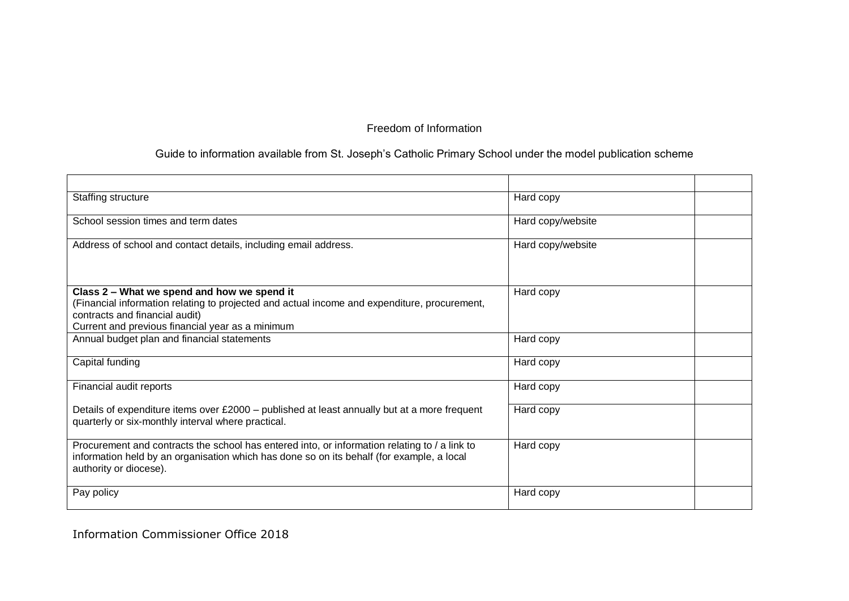# Guide to information available from St. Joseph's Catholic Primary School under the model publication scheme

| Staffing structure                                                                                                                                                                                                                | Hard copy         |  |
|-----------------------------------------------------------------------------------------------------------------------------------------------------------------------------------------------------------------------------------|-------------------|--|
| School session times and term dates                                                                                                                                                                                               | Hard copy/website |  |
| Address of school and contact details, including email address.                                                                                                                                                                   | Hard copy/website |  |
| Class 2 - What we spend and how we spend it<br>(Financial information relating to projected and actual income and expenditure, procurement,<br>contracts and financial audit)<br>Current and previous financial year as a minimum | Hard copy         |  |
| Annual budget plan and financial statements                                                                                                                                                                                       | Hard copy         |  |
| Capital funding                                                                                                                                                                                                                   | Hard copy         |  |
| Financial audit reports                                                                                                                                                                                                           | Hard copy         |  |
| Details of expenditure items over £2000 - published at least annually but at a more frequent<br>quarterly or six-monthly interval where practical.                                                                                | Hard copy         |  |
| Procurement and contracts the school has entered into, or information relating to / a link to<br>information held by an organisation which has done so on its behalf (for example, a local<br>authority or diocese).              | Hard copy         |  |
| Pay policy                                                                                                                                                                                                                        | Hard copy         |  |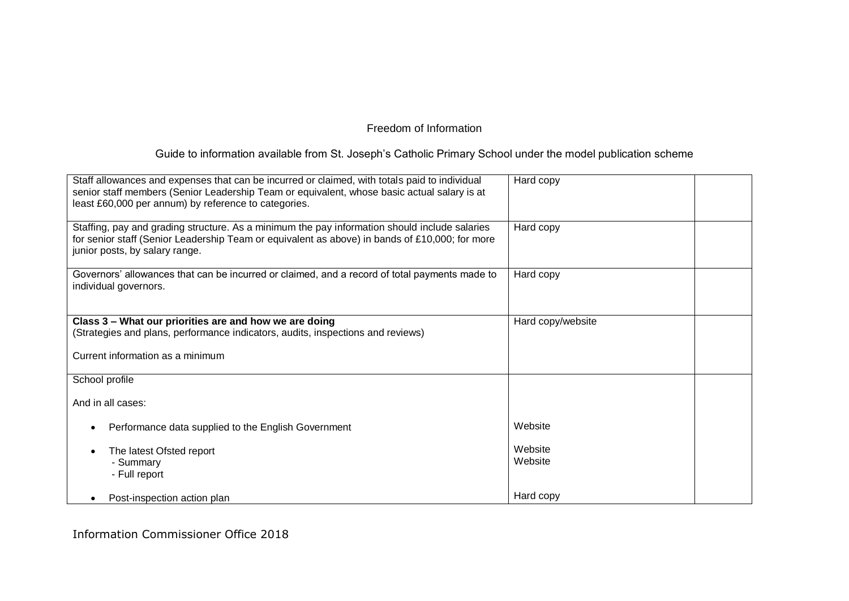# Guide to information available from St. Joseph's Catholic Primary School under the model publication scheme

| Staff allowances and expenses that can be incurred or claimed, with totals paid to individual<br>senior staff members (Senior Leadership Team or equivalent, whose basic actual salary is at<br>least £60,000 per annum) by reference to categories. | Hard copy          |  |
|------------------------------------------------------------------------------------------------------------------------------------------------------------------------------------------------------------------------------------------------------|--------------------|--|
| Staffing, pay and grading structure. As a minimum the pay information should include salaries<br>for senior staff (Senior Leadership Team or equivalent as above) in bands of £10,000; for more<br>junior posts, by salary range.                    | Hard copy          |  |
| Governors' allowances that can be incurred or claimed, and a record of total payments made to<br>individual governors.                                                                                                                               | Hard copy          |  |
| Class 3 - What our priorities are and how we are doing                                                                                                                                                                                               | Hard copy/website  |  |
| (Strategies and plans, performance indicators, audits, inspections and reviews)                                                                                                                                                                      |                    |  |
| Current information as a minimum                                                                                                                                                                                                                     |                    |  |
| School profile                                                                                                                                                                                                                                       |                    |  |
| And in all cases:                                                                                                                                                                                                                                    |                    |  |
| Performance data supplied to the English Government                                                                                                                                                                                                  | Website            |  |
| The latest Ofsted report<br>- Summary<br>- Full report                                                                                                                                                                                               | Website<br>Website |  |
| Post-inspection action plan                                                                                                                                                                                                                          | Hard copy          |  |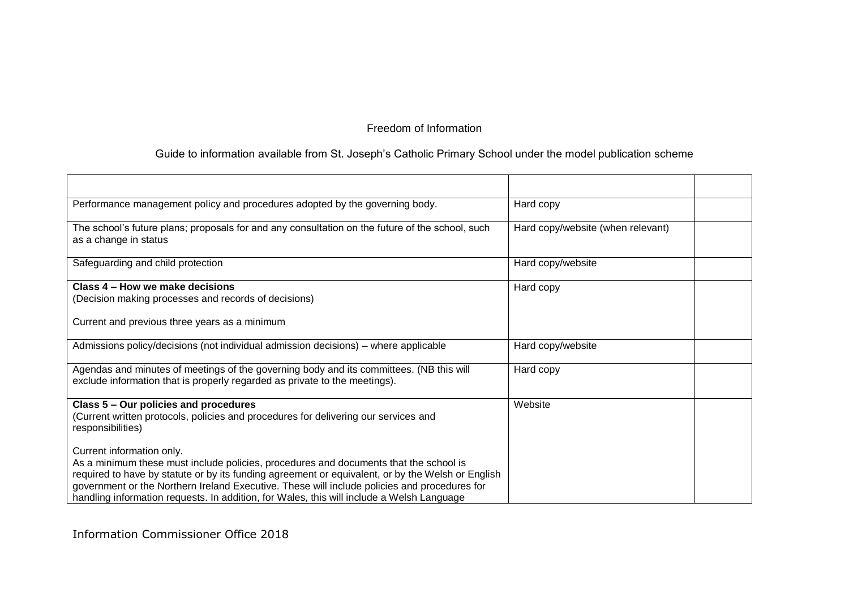### Guide to information available from St. Joseph's Catholic Primary School under the model publication scheme

| Performance management policy and procedures adopted by the governing body.                                                                                                                                                                                                                                                                                                                                          | Hard copy                         |
|----------------------------------------------------------------------------------------------------------------------------------------------------------------------------------------------------------------------------------------------------------------------------------------------------------------------------------------------------------------------------------------------------------------------|-----------------------------------|
| The school's future plans; proposals for and any consultation on the future of the school, such<br>as a change in status                                                                                                                                                                                                                                                                                             | Hard copy/website (when relevant) |
| Safeguarding and child protection                                                                                                                                                                                                                                                                                                                                                                                    | Hard copy/website                 |
| Class 4 – How we make decisions<br>(Decision making processes and records of decisions)<br>Current and previous three years as a minimum                                                                                                                                                                                                                                                                             | Hard copy                         |
| Admissions policy/decisions (not individual admission decisions) – where applicable                                                                                                                                                                                                                                                                                                                                  | Hard copy/website                 |
| Agendas and minutes of meetings of the governing body and its committees. (NB this will<br>exclude information that is properly regarded as private to the meetings).                                                                                                                                                                                                                                                | Hard copy                         |
| Class 5 - Our policies and procedures<br>(Current written protocols, policies and procedures for delivering our services and<br>responsibilities)                                                                                                                                                                                                                                                                    | Website                           |
| Current information only.<br>As a minimum these must include policies, procedures and documents that the school is<br>required to have by statute or by its funding agreement or equivalent, or by the Welsh or English<br>government or the Northern Ireland Executive. These will include policies and procedures for<br>handling information requests. In addition, for Wales, this will include a Welsh Language |                                   |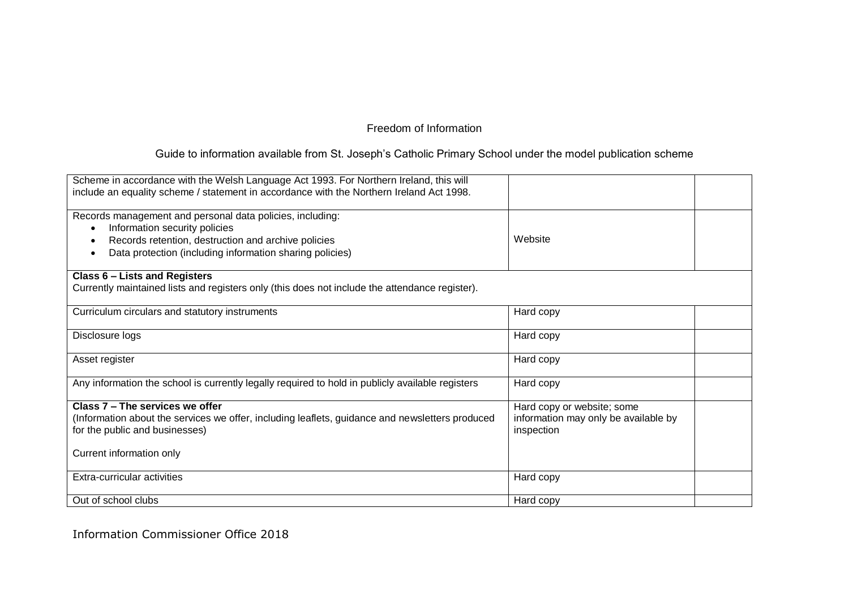# Guide to information available from St. Joseph's Catholic Primary School under the model publication scheme

| Scheme in accordance with the Welsh Language Act 1993. For Northern Ireland, this will<br>include an equality scheme / statement in accordance with the Northern Ireland Act 1998.                                         |                                                                                  |
|----------------------------------------------------------------------------------------------------------------------------------------------------------------------------------------------------------------------------|----------------------------------------------------------------------------------|
| Records management and personal data policies, including:<br>Information security policies<br>$\bullet$<br>Records retention, destruction and archive policies<br>Data protection (including information sharing policies) | Website                                                                          |
| Class 6 - Lists and Registers<br>Currently maintained lists and registers only (this does not include the attendance register).                                                                                            |                                                                                  |
| Curriculum circulars and statutory instruments                                                                                                                                                                             | Hard copy                                                                        |
| Disclosure logs                                                                                                                                                                                                            | Hard copy                                                                        |
| Asset register                                                                                                                                                                                                             | Hard copy                                                                        |
| Any information the school is currently legally required to hold in publicly available registers                                                                                                                           | Hard copy                                                                        |
| Class 7 - The services we offer<br>(Information about the services we offer, including leaflets, guidance and newsletters produced<br>for the public and businesses)<br>Current information only                           | Hard copy or website; some<br>information may only be available by<br>inspection |
| Extra-curricular activities                                                                                                                                                                                                | Hard copy                                                                        |
| Out of school clubs                                                                                                                                                                                                        | Hard copy                                                                        |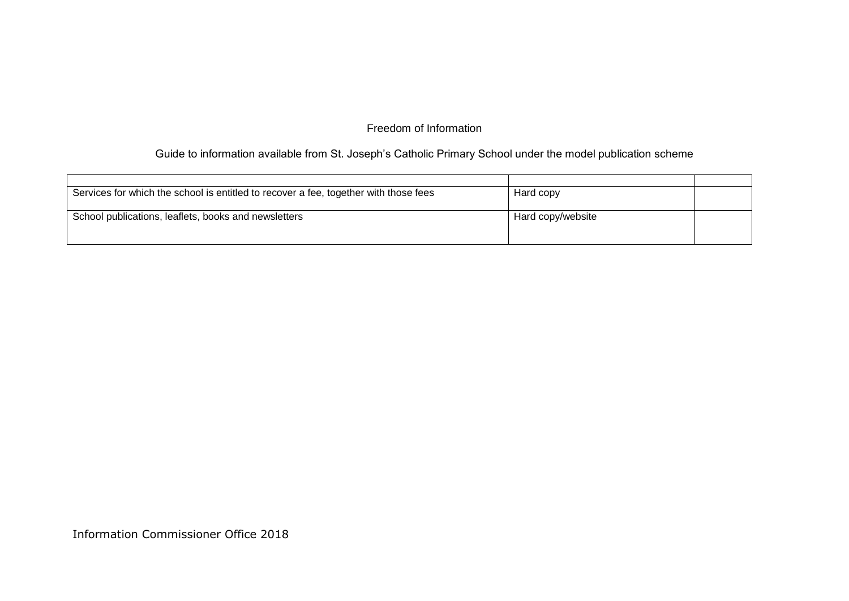# Guide to information available from St. Joseph's Catholic Primary School under the model publication scheme

| Services for which the school is entitled to recover a fee, together with those fees | Hard copy         |  |
|--------------------------------------------------------------------------------------|-------------------|--|
|                                                                                      |                   |  |
| School publications, leaflets, books and newsletters                                 | Hard copy/website |  |
|                                                                                      |                   |  |
|                                                                                      |                   |  |